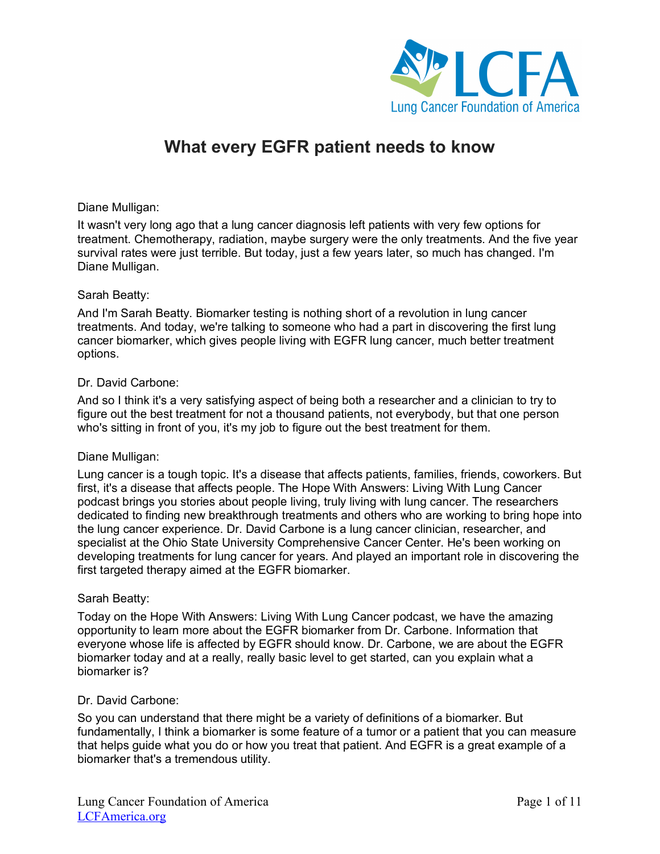

# **What every EGFR patient needs to know**

## Diane Mulligan:

It wasn't very long ago that a lung cancer diagnosis left patients with very few options for treatment. Chemotherapy, radiation, maybe surgery were the only treatments. And the five year survival rates were just terrible. But today, just a few years later, so much has changed. I'm Diane Mulligan.

## Sarah Beatty:

And I'm Sarah Beatty. Biomarker testing is nothing short of a revolution in lung cancer treatments. And today, we're talking to someone who had a part in discovering the first lung cancer biomarker, which gives people living with EGFR lung cancer, much better treatment options.

## Dr. David Carbone:

And so I think it's a very satisfying aspect of being both a researcher and a clinician to try to figure out the best treatment for not a thousand patients, not everybody, but that one person who's sitting in front of you, it's my job to figure out the best treatment for them.

## Diane Mulligan:

Lung cancer is a tough topic. It's a disease that affects patients, families, friends, coworkers. But first, it's a disease that affects people. The Hope With Answers: Living With Lung Cancer podcast brings you stories about people living, truly living with lung cancer. The researchers dedicated to finding new breakthrough treatments and others who are working to bring hope into the lung cancer experience. Dr. David Carbone is a lung cancer clinician, researcher, and specialist at the Ohio State University Comprehensive Cancer Center. He's been working on developing treatments for lung cancer for years. And played an important role in discovering the first targeted therapy aimed at the EGFR biomarker.

## Sarah Beatty:

Today on the Hope With Answers: Living With Lung Cancer podcast, we have the amazing opportunity to learn more about the EGFR biomarker from Dr. Carbone. Information that everyone whose life is affected by EGFR should know. Dr. Carbone, we are about the EGFR biomarker today and at a really, really basic level to get started, can you explain what a biomarker is?

## Dr. David Carbone:

So you can understand that there might be a variety of definitions of a biomarker. But fundamentally, I think a biomarker is some feature of a tumor or a patient that you can measure that helps guide what you do or how you treat that patient. And EGFR is a great example of a biomarker that's a tremendous utility.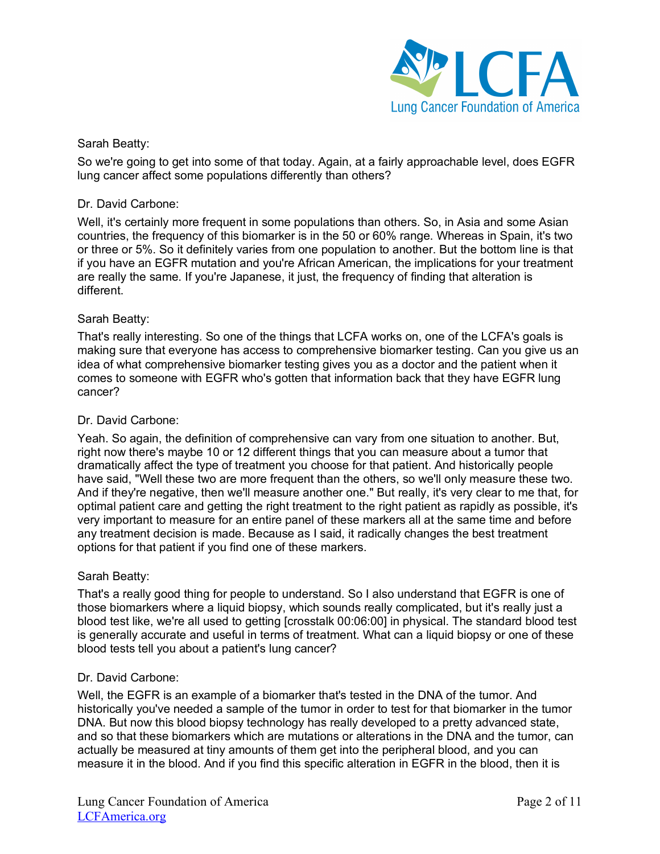

So we're going to get into some of that today. Again, at a fairly approachable level, does EGFR lung cancer affect some populations differently than others?

## Dr. David Carbone:

Well, it's certainly more frequent in some populations than others. So, in Asia and some Asian countries, the frequency of this biomarker is in the 50 or 60% range. Whereas in Spain, it's two or three or 5%. So it definitely varies from one population to another. But the bottom line is that if you have an EGFR mutation and you're African American, the implications for your treatment are really the same. If you're Japanese, it just, the frequency of finding that alteration is different.

## Sarah Beatty:

That's really interesting. So one of the things that LCFA works on, one of the LCFA's goals is making sure that everyone has access to comprehensive biomarker testing. Can you give us an idea of what comprehensive biomarker testing gives you as a doctor and the patient when it comes to someone with EGFR who's gotten that information back that they have EGFR lung cancer?

## Dr. David Carbone:

Yeah. So again, the definition of comprehensive can vary from one situation to another. But, right now there's maybe 10 or 12 different things that you can measure about a tumor that dramatically affect the type of treatment you choose for that patient. And historically people have said, "Well these two are more frequent than the others, so we'll only measure these two. And if they're negative, then we'll measure another one." But really, it's very clear to me that, for optimal patient care and getting the right treatment to the right patient as rapidly as possible, it's very important to measure for an entire panel of these markers all at the same time and before any treatment decision is made. Because as I said, it radically changes the best treatment options for that patient if you find one of these markers.

## Sarah Beatty:

That's a really good thing for people to understand. So I also understand that EGFR is one of those biomarkers where a liquid biopsy, which sounds really complicated, but it's really just a blood test like, we're all used to getting [crosstalk 00:06:00] in physical. The standard blood test is generally accurate and useful in terms of treatment. What can a liquid biopsy or one of these blood tests tell you about a patient's lung cancer?

## Dr. David Carbone:

Well, the EGFR is an example of a biomarker that's tested in the DNA of the tumor. And historically you've needed a sample of the tumor in order to test for that biomarker in the tumor DNA. But now this blood biopsy technology has really developed to a pretty advanced state, and so that these biomarkers which are mutations or alterations in the DNA and the tumor, can actually be measured at tiny amounts of them get into the peripheral blood, and you can measure it in the blood. And if you find this specific alteration in EGFR in the blood, then it is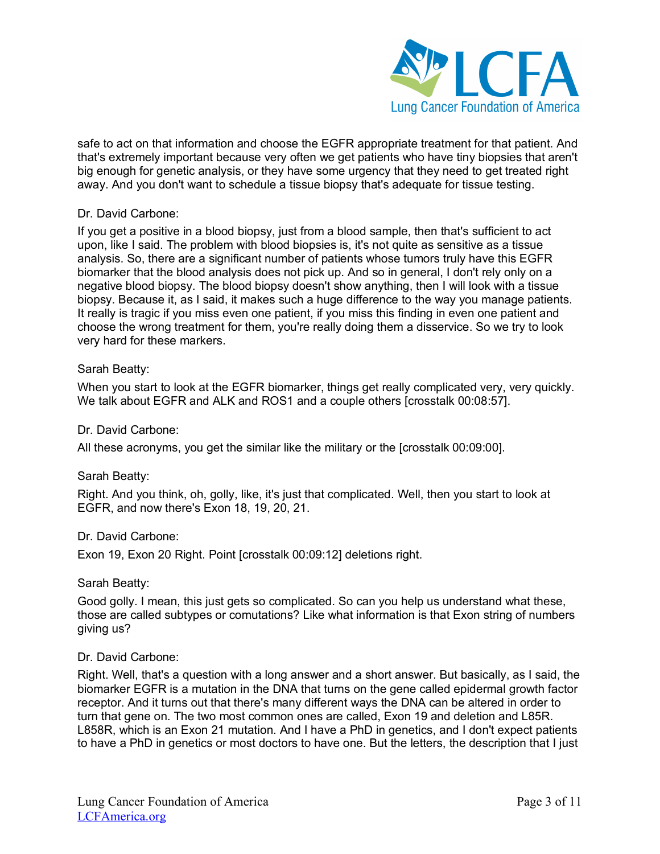

safe to act on that information and choose the EGFR appropriate treatment for that patient. And that's extremely important because very often we get patients who have tiny biopsies that aren't big enough for genetic analysis, or they have some urgency that they need to get treated right away. And you don't want to schedule a tissue biopsy that's adequate for tissue testing.

## Dr. David Carbone:

If you get a positive in a blood biopsy, just from a blood sample, then that's sufficient to act upon, like I said. The problem with blood biopsies is, it's not quite as sensitive as a tissue analysis. So, there are a significant number of patients whose tumors truly have this EGFR biomarker that the blood analysis does not pick up. And so in general, I don't rely only on a negative blood biopsy. The blood biopsy doesn't show anything, then I will look with a tissue biopsy. Because it, as I said, it makes such a huge difference to the way you manage patients. It really is tragic if you miss even one patient, if you miss this finding in even one patient and choose the wrong treatment for them, you're really doing them a disservice. So we try to look very hard for these markers.

## Sarah Beatty:

When you start to look at the EGFR biomarker, things get really complicated very, very quickly. We talk about EGFR and ALK and ROS1 and a couple others [crosstalk 00:08:57].

## Dr. David Carbone:

All these acronyms, you get the similar like the military or the [crosstalk 00:09:00].

# Sarah Beatty:

Right. And you think, oh, golly, like, it's just that complicated. Well, then you start to look at EGFR, and now there's Exon 18, 19, 20, 21.

## Dr. David Carbone:

Exon 19, Exon 20 Right. Point [crosstalk 00:09:12] deletions right.

## Sarah Beatty:

Good golly. I mean, this just gets so complicated. So can you help us understand what these, those are called subtypes or comutations? Like what information is that Exon string of numbers giving us?

## Dr. David Carbone:

Right. Well, that's a question with a long answer and a short answer. But basically, as I said, the biomarker EGFR is a mutation in the DNA that turns on the gene called epidermal growth factor receptor. And it turns out that there's many different ways the DNA can be altered in order to turn that gene on. The two most common ones are called, Exon 19 and deletion and L85R. L858R, which is an Exon 21 mutation. And I have a PhD in genetics, and I don't expect patients to have a PhD in genetics or most doctors to have one. But the letters, the description that I just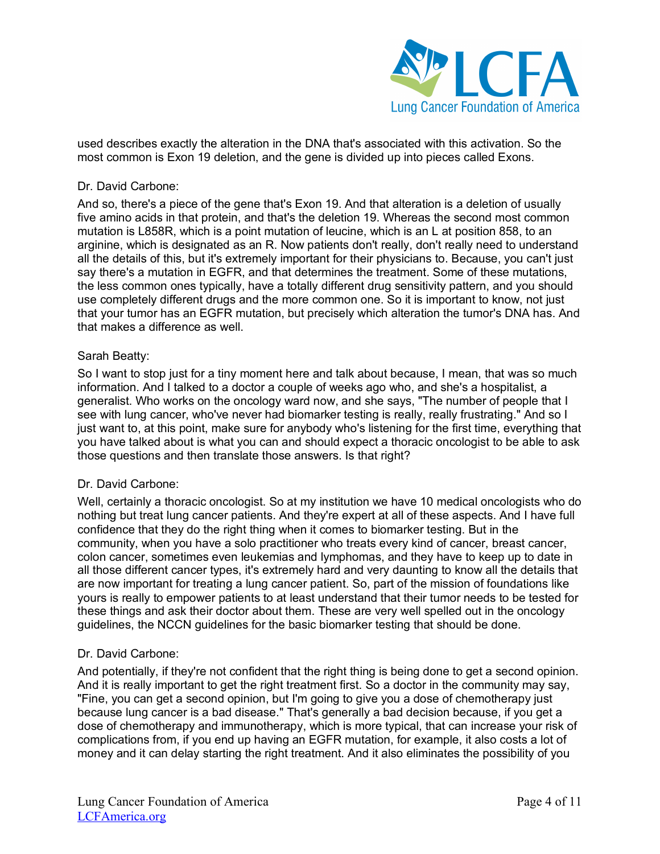

used describes exactly the alteration in the DNA that's associated with this activation. So the most common is Exon 19 deletion, and the gene is divided up into pieces called Exons.

## Dr. David Carbone:

And so, there's a piece of the gene that's Exon 19. And that alteration is a deletion of usually five amino acids in that protein, and that's the deletion 19. Whereas the second most common mutation is L858R, which is a point mutation of leucine, which is an L at position 858, to an arginine, which is designated as an R. Now patients don't really, don't really need to understand all the details of this, but it's extremely important for their physicians to. Because, you can't just say there's a mutation in EGFR, and that determines the treatment. Some of these mutations, the less common ones typically, have a totally different drug sensitivity pattern, and you should use completely different drugs and the more common one. So it is important to know, not just that your tumor has an EGFR mutation, but precisely which alteration the tumor's DNA has. And that makes a difference as well.

## Sarah Beatty:

So I want to stop just for a tiny moment here and talk about because, I mean, that was so much information. And I talked to a doctor a couple of weeks ago who, and she's a hospitalist, a generalist. Who works on the oncology ward now, and she says, "The number of people that I see with lung cancer, who've never had biomarker testing is really, really frustrating." And so I just want to, at this point, make sure for anybody who's listening for the first time, everything that you have talked about is what you can and should expect a thoracic oncologist to be able to ask those questions and then translate those answers. Is that right?

## Dr. David Carbone:

Well, certainly a thoracic oncologist. So at my institution we have 10 medical oncologists who do nothing but treat lung cancer patients. And they're expert at all of these aspects. And I have full confidence that they do the right thing when it comes to biomarker testing. But in the community, when you have a solo practitioner who treats every kind of cancer, breast cancer, colon cancer, sometimes even leukemias and lymphomas, and they have to keep up to date in all those different cancer types, it's extremely hard and very daunting to know all the details that are now important for treating a lung cancer patient. So, part of the mission of foundations like yours is really to empower patients to at least understand that their tumor needs to be tested for these things and ask their doctor about them. These are very well spelled out in the oncology guidelines, the NCCN guidelines for the basic biomarker testing that should be done.

## Dr. David Carbone:

And potentially, if they're not confident that the right thing is being done to get a second opinion. And it is really important to get the right treatment first. So a doctor in the community may say, "Fine, you can get a second opinion, but I'm going to give you a dose of chemotherapy just because lung cancer is a bad disease." That's generally a bad decision because, if you get a dose of chemotherapy and immunotherapy, which is more typical, that can increase your risk of complications from, if you end up having an EGFR mutation, for example, it also costs a lot of money and it can delay starting the right treatment. And it also eliminates the possibility of you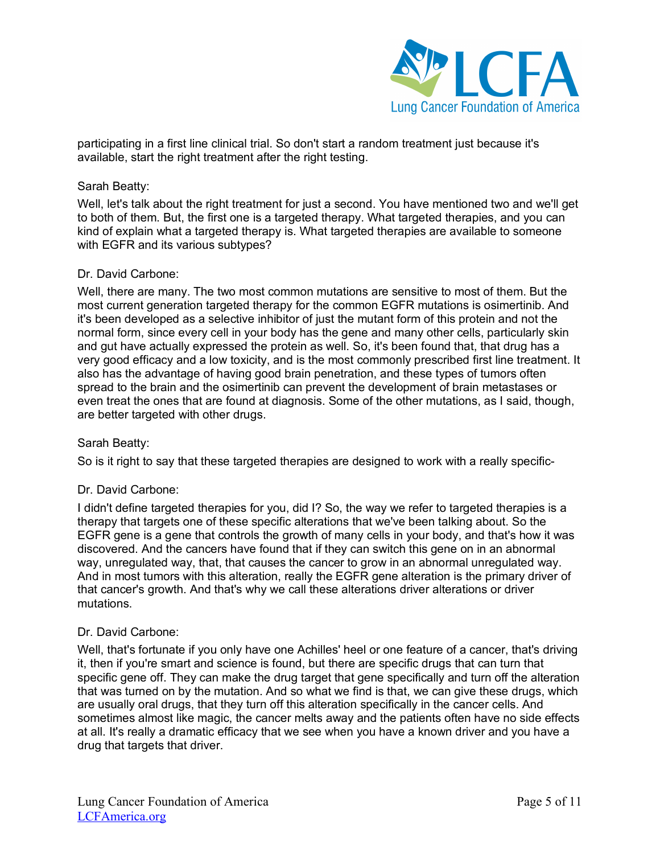

participating in a first line clinical trial. So don't start a random treatment just because it's available, start the right treatment after the right testing.

## Sarah Beatty:

Well, let's talk about the right treatment for just a second. You have mentioned two and we'll get to both of them. But, the first one is a targeted therapy. What targeted therapies, and you can kind of explain what a targeted therapy is. What targeted therapies are available to someone with EGFR and its various subtypes?

## Dr. David Carbone:

Well, there are many. The two most common mutations are sensitive to most of them. But the most current generation targeted therapy for the common EGFR mutations is osimertinib. And it's been developed as a selective inhibitor of just the mutant form of this protein and not the normal form, since every cell in your body has the gene and many other cells, particularly skin and gut have actually expressed the protein as well. So, it's been found that, that drug has a very good efficacy and a low toxicity, and is the most commonly prescribed first line treatment. It also has the advantage of having good brain penetration, and these types of tumors often spread to the brain and the osimertinib can prevent the development of brain metastases or even treat the ones that are found at diagnosis. Some of the other mutations, as I said, though, are better targeted with other drugs.

## Sarah Beatty:

So is it right to say that these targeted therapies are designed to work with a really specific-

## Dr. David Carbone:

I didn't define targeted therapies for you, did I? So, the way we refer to targeted therapies is a therapy that targets one of these specific alterations that we've been talking about. So the EGFR gene is a gene that controls the growth of many cells in your body, and that's how it was discovered. And the cancers have found that if they can switch this gene on in an abnormal way, unregulated way, that, that causes the cancer to grow in an abnormal unregulated way. And in most tumors with this alteration, really the EGFR gene alteration is the primary driver of that cancer's growth. And that's why we call these alterations driver alterations or driver mutations.

## Dr. David Carbone:

Well, that's fortunate if you only have one Achilles' heel or one feature of a cancer, that's driving it, then if you're smart and science is found, but there are specific drugs that can turn that specific gene off. They can make the drug target that gene specifically and turn off the alteration that was turned on by the mutation. And so what we find is that, we can give these drugs, which are usually oral drugs, that they turn off this alteration specifically in the cancer cells. And sometimes almost like magic, the cancer melts away and the patients often have no side effects at all. It's really a dramatic efficacy that we see when you have a known driver and you have a drug that targets that driver.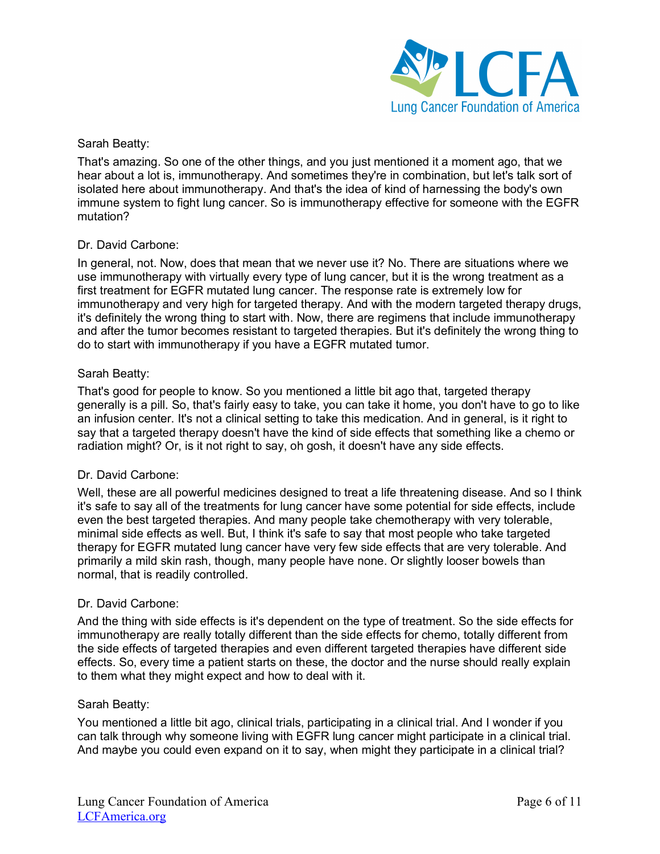

That's amazing. So one of the other things, and you just mentioned it a moment ago, that we hear about a lot is, immunotherapy. And sometimes they're in combination, but let's talk sort of isolated here about immunotherapy. And that's the idea of kind of harnessing the body's own immune system to fight lung cancer. So is immunotherapy effective for someone with the EGFR mutation?

## Dr. David Carbone:

In general, not. Now, does that mean that we never use it? No. There are situations where we use immunotherapy with virtually every type of lung cancer, but it is the wrong treatment as a first treatment for EGFR mutated lung cancer. The response rate is extremely low for immunotherapy and very high for targeted therapy. And with the modern targeted therapy drugs, it's definitely the wrong thing to start with. Now, there are regimens that include immunotherapy and after the tumor becomes resistant to targeted therapies. But it's definitely the wrong thing to do to start with immunotherapy if you have a EGFR mutated tumor.

## Sarah Beatty:

That's good for people to know. So you mentioned a little bit ago that, targeted therapy generally is a pill. So, that's fairly easy to take, you can take it home, you don't have to go to like an infusion center. It's not a clinical setting to take this medication. And in general, is it right to say that a targeted therapy doesn't have the kind of side effects that something like a chemo or radiation might? Or, is it not right to say, oh gosh, it doesn't have any side effects.

# Dr. David Carbone:

Well, these are all powerful medicines designed to treat a life threatening disease. And so I think it's safe to say all of the treatments for lung cancer have some potential for side effects, include even the best targeted therapies. And many people take chemotherapy with very tolerable, minimal side effects as well. But, I think it's safe to say that most people who take targeted therapy for EGFR mutated lung cancer have very few side effects that are very tolerable. And primarily a mild skin rash, though, many people have none. Or slightly looser bowels than normal, that is readily controlled.

## Dr. David Carbone:

And the thing with side effects is it's dependent on the type of treatment. So the side effects for immunotherapy are really totally different than the side effects for chemo, totally different from the side effects of targeted therapies and even different targeted therapies have different side effects. So, every time a patient starts on these, the doctor and the nurse should really explain to them what they might expect and how to deal with it.

## Sarah Beatty:

You mentioned a little bit ago, clinical trials, participating in a clinical trial. And I wonder if you can talk through why someone living with EGFR lung cancer might participate in a clinical trial. And maybe you could even expand on it to say, when might they participate in a clinical trial?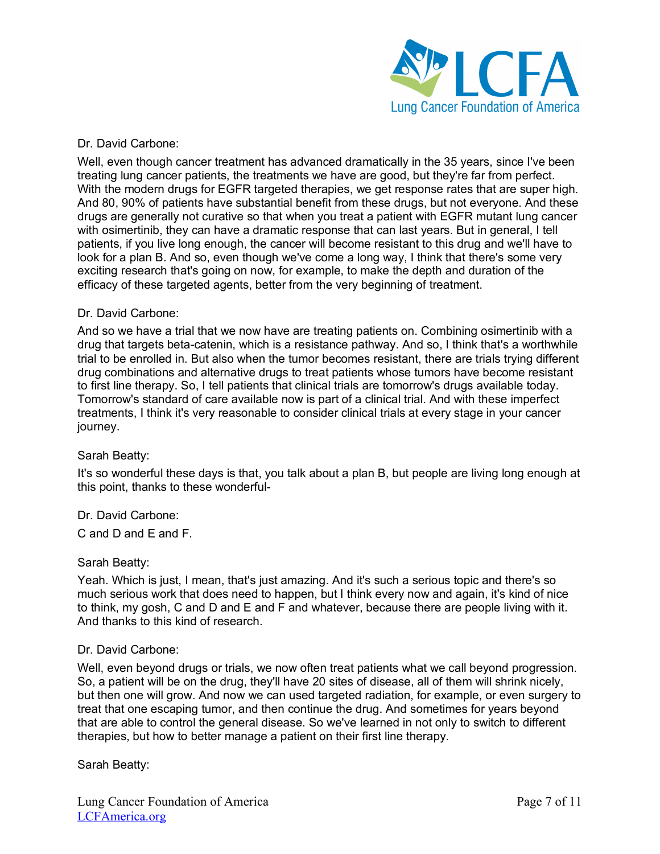

## Dr. David Carbone:

Well, even though cancer treatment has advanced dramatically in the 35 years, since I've been treating lung cancer patients, the treatments we have are good, but they're far from perfect. With the modern drugs for EGFR targeted therapies, we get response rates that are super high. And 80, 90% of patients have substantial benefit from these drugs, but not everyone. And these drugs are generally not curative so that when you treat a patient with EGFR mutant lung cancer with osimertinib, they can have a dramatic response that can last years. But in general, I tell patients, if you live long enough, the cancer will become resistant to this drug and we'll have to look for a plan B. And so, even though we've come a long way, I think that there's some very exciting research that's going on now, for example, to make the depth and duration of the efficacy of these targeted agents, better from the very beginning of treatment.

## Dr. David Carbone:

And so we have a trial that we now have are treating patients on. Combining osimertinib with a drug that targets beta-catenin, which is a resistance pathway. And so, I think that's a worthwhile trial to be enrolled in. But also when the tumor becomes resistant, there are trials trying different drug combinations and alternative drugs to treat patients whose tumors have become resistant to first line therapy. So, I tell patients that clinical trials are tomorrow's drugs available today. Tomorrow's standard of care available now is part of a clinical trial. And with these imperfect treatments, I think it's very reasonable to consider clinical trials at every stage in your cancer journey.

## Sarah Beatty:

It's so wonderful these days is that, you talk about a plan B, but people are living long enough at this point, thanks to these wonderful-

Dr. David Carbone:

C and D and E and F.

## Sarah Beatty:

Yeah. Which is just, I mean, that's just amazing. And it's such a serious topic and there's so much serious work that does need to happen, but I think every now and again, it's kind of nice to think, my gosh, C and D and E and F and whatever, because there are people living with it. And thanks to this kind of research.

## Dr. David Carbone:

Well, even beyond drugs or trials, we now often treat patients what we call beyond progression. So, a patient will be on the drug, they'll have 20 sites of disease, all of them will shrink nicely, but then one will grow. And now we can used targeted radiation, for example, or even surgery to treat that one escaping tumor, and then continue the drug. And sometimes for years beyond that are able to control the general disease. So we've learned in not only to switch to different therapies, but how to better manage a patient on their first line therapy.

Sarah Beatty: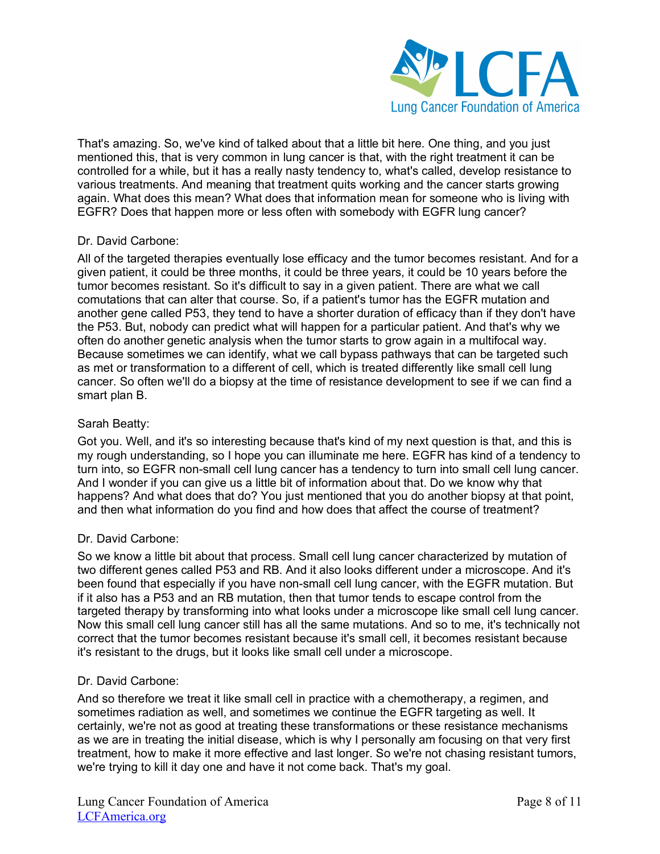

That's amazing. So, we've kind of talked about that a little bit here. One thing, and you just mentioned this, that is very common in lung cancer is that, with the right treatment it can be controlled for a while, but it has a really nasty tendency to, what's called, develop resistance to various treatments. And meaning that treatment quits working and the cancer starts growing again. What does this mean? What does that information mean for someone who is living with EGFR? Does that happen more or less often with somebody with EGFR lung cancer?

## Dr. David Carbone:

All of the targeted therapies eventually lose efficacy and the tumor becomes resistant. And for a given patient, it could be three months, it could be three years, it could be 10 years before the tumor becomes resistant. So it's difficult to say in a given patient. There are what we call comutations that can alter that course. So, if a patient's tumor has the EGFR mutation and another gene called P53, they tend to have a shorter duration of efficacy than if they don't have the P53. But, nobody can predict what will happen for a particular patient. And that's why we often do another genetic analysis when the tumor starts to grow again in a multifocal way. Because sometimes we can identify, what we call bypass pathways that can be targeted such as met or transformation to a different of cell, which is treated differently like small cell lung cancer. So often we'll do a biopsy at the time of resistance development to see if we can find a smart plan B.

# Sarah Beatty:

Got you. Well, and it's so interesting because that's kind of my next question is that, and this is my rough understanding, so I hope you can illuminate me here. EGFR has kind of a tendency to turn into, so EGFR non-small cell lung cancer has a tendency to turn into small cell lung cancer. And I wonder if you can give us a little bit of information about that. Do we know why that happens? And what does that do? You just mentioned that you do another biopsy at that point, and then what information do you find and how does that affect the course of treatment?

## Dr. David Carbone:

So we know a little bit about that process. Small cell lung cancer characterized by mutation of two different genes called P53 and RB. And it also looks different under a microscope. And it's been found that especially if you have non-small cell lung cancer, with the EGFR mutation. But if it also has a P53 and an RB mutation, then that tumor tends to escape control from the targeted therapy by transforming into what looks under a microscope like small cell lung cancer. Now this small cell lung cancer still has all the same mutations. And so to me, it's technically not correct that the tumor becomes resistant because it's small cell, it becomes resistant because it's resistant to the drugs, but it looks like small cell under a microscope.

## Dr. David Carbone:

And so therefore we treat it like small cell in practice with a chemotherapy, a regimen, and sometimes radiation as well, and sometimes we continue the EGFR targeting as well. It certainly, we're not as good at treating these transformations or these resistance mechanisms as we are in treating the initial disease, which is why I personally am focusing on that very first treatment, how to make it more effective and last longer. So we're not chasing resistant tumors, we're trying to kill it day one and have it not come back. That's my goal.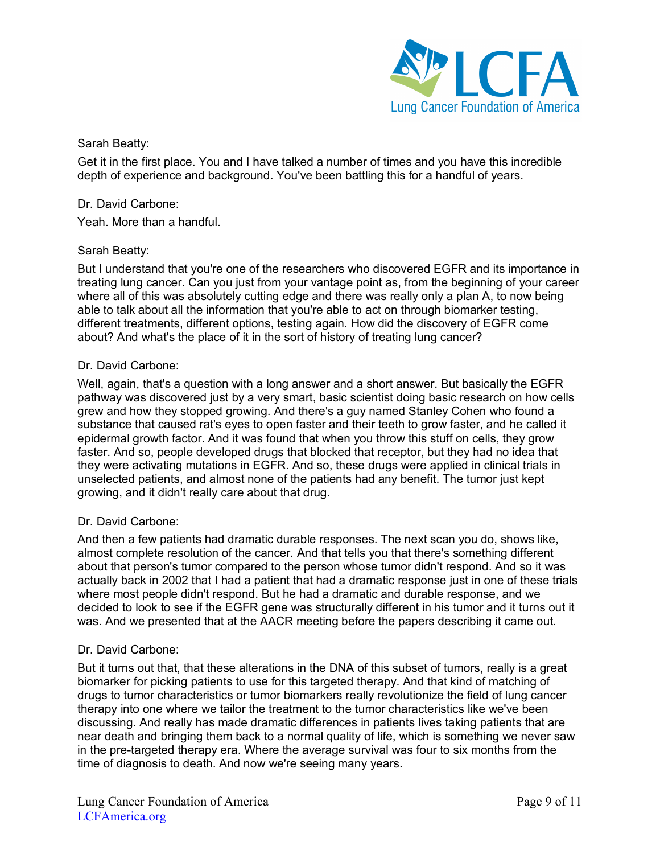

Get it in the first place. You and I have talked a number of times and you have this incredible depth of experience and background. You've been battling this for a handful of years.

# Dr. David Carbone:

Yeah. More than a handful.

## Sarah Beatty:

But I understand that you're one of the researchers who discovered EGFR and its importance in treating lung cancer. Can you just from your vantage point as, from the beginning of your career where all of this was absolutely cutting edge and there was really only a plan A, to now being able to talk about all the information that you're able to act on through biomarker testing, different treatments, different options, testing again. How did the discovery of EGFR come about? And what's the place of it in the sort of history of treating lung cancer?

## Dr. David Carbone:

Well, again, that's a question with a long answer and a short answer. But basically the EGFR pathway was discovered just by a very smart, basic scientist doing basic research on how cells grew and how they stopped growing. And there's a guy named Stanley Cohen who found a substance that caused rat's eyes to open faster and their teeth to grow faster, and he called it epidermal growth factor. And it was found that when you throw this stuff on cells, they grow faster. And so, people developed drugs that blocked that receptor, but they had no idea that they were activating mutations in EGFR. And so, these drugs were applied in clinical trials in unselected patients, and almost none of the patients had any benefit. The tumor just kept growing, and it didn't really care about that drug.

## Dr. David Carbone:

And then a few patients had dramatic durable responses. The next scan you do, shows like, almost complete resolution of the cancer. And that tells you that there's something different about that person's tumor compared to the person whose tumor didn't respond. And so it was actually back in 2002 that I had a patient that had a dramatic response just in one of these trials where most people didn't respond. But he had a dramatic and durable response, and we decided to look to see if the EGFR gene was structurally different in his tumor and it turns out it was. And we presented that at the AACR meeting before the papers describing it came out.

## Dr. David Carbone:

But it turns out that, that these alterations in the DNA of this subset of tumors, really is a great biomarker for picking patients to use for this targeted therapy. And that kind of matching of drugs to tumor characteristics or tumor biomarkers really revolutionize the field of lung cancer therapy into one where we tailor the treatment to the tumor characteristics like we've been discussing. And really has made dramatic differences in patients lives taking patients that are near death and bringing them back to a normal quality of life, which is something we never saw in the pre-targeted therapy era. Where the average survival was four to six months from the time of diagnosis to death. And now we're seeing many years.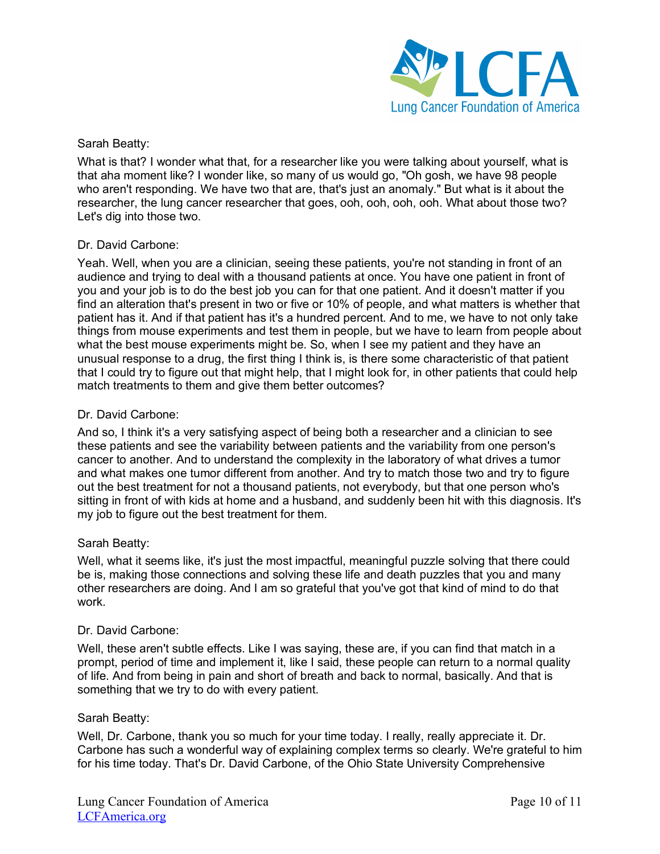

What is that? I wonder what that, for a researcher like you were talking about yourself, what is that aha moment like? I wonder like, so many of us would go, "Oh gosh, we have 98 people who aren't responding. We have two that are, that's just an anomaly." But what is it about the researcher, the lung cancer researcher that goes, ooh, ooh, ooh, ooh. What about those two? Let's dig into those two.

## Dr. David Carbone:

Yeah. Well, when you are a clinician, seeing these patients, you're not standing in front of an audience and trying to deal with a thousand patients at once. You have one patient in front of you and your job is to do the best job you can for that one patient. And it doesn't matter if you find an alteration that's present in two or five or 10% of people, and what matters is whether that patient has it. And if that patient has it's a hundred percent. And to me, we have to not only take things from mouse experiments and test them in people, but we have to learn from people about what the best mouse experiments might be. So, when I see my patient and they have an unusual response to a drug, the first thing I think is, is there some characteristic of that patient that I could try to figure out that might help, that I might look for, in other patients that could help match treatments to them and give them better outcomes?

## Dr. David Carbone:

And so, I think it's a very satisfying aspect of being both a researcher and a clinician to see these patients and see the variability between patients and the variability from one person's cancer to another. And to understand the complexity in the laboratory of what drives a tumor and what makes one tumor different from another. And try to match those two and try to figure out the best treatment for not a thousand patients, not everybody, but that one person who's sitting in front of with kids at home and a husband, and suddenly been hit with this diagnosis. It's my job to figure out the best treatment for them.

# Sarah Beatty:

Well, what it seems like, it's just the most impactful, meaningful puzzle solving that there could be is, making those connections and solving these life and death puzzles that you and many other researchers are doing. And I am so grateful that you've got that kind of mind to do that work.

## Dr. David Carbone:

Well, these aren't subtle effects. Like I was saying, these are, if you can find that match in a prompt, period of time and implement it, like I said, these people can return to a normal quality of life. And from being in pain and short of breath and back to normal, basically. And that is something that we try to do with every patient.

## Sarah Beatty:

Well, Dr. Carbone, thank you so much for your time today. I really, really appreciate it. Dr. Carbone has such a wonderful way of explaining complex terms so clearly. We're grateful to him for his time today. That's Dr. David Carbone, of the Ohio State University Comprehensive